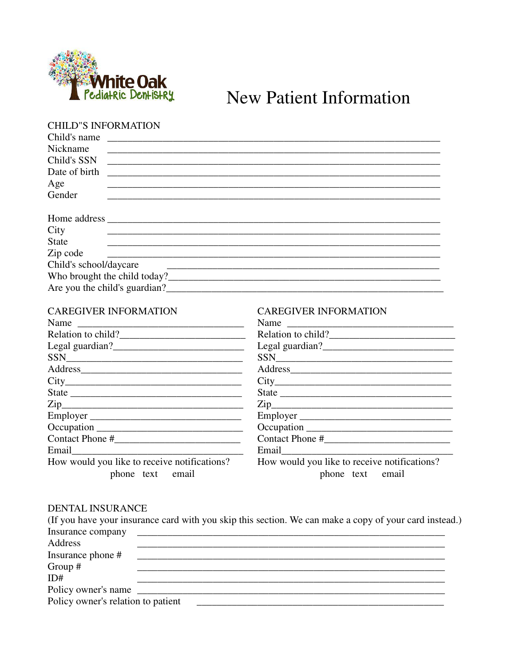

## New Patient Information

## CHILD"S INFORMATION

| Child's name                                                                                                                                                                                                                          |                                                           |  |  |  |
|---------------------------------------------------------------------------------------------------------------------------------------------------------------------------------------------------------------------------------------|-----------------------------------------------------------|--|--|--|
| Nickname                                                                                                                                                                                                                              |                                                           |  |  |  |
| Child's SSN                                                                                                                                                                                                                           |                                                           |  |  |  |
| Date of birth                                                                                                                                                                                                                         |                                                           |  |  |  |
| Age                                                                                                                                                                                                                                   |                                                           |  |  |  |
| Gender                                                                                                                                                                                                                                |                                                           |  |  |  |
|                                                                                                                                                                                                                                       |                                                           |  |  |  |
|                                                                                                                                                                                                                                       |                                                           |  |  |  |
| City                                                                                                                                                                                                                                  |                                                           |  |  |  |
| State                                                                                                                                                                                                                                 |                                                           |  |  |  |
| Zip code                                                                                                                                                                                                                              | <u> 1980 - John Stein, Amerikaansk politiker (* 1900)</u> |  |  |  |
| Child's school/daycare                                                                                                                                                                                                                |                                                           |  |  |  |
|                                                                                                                                                                                                                                       |                                                           |  |  |  |
| Are you the child's guardian?<br><u>Letting</u> the state of the contract of the contract of the contract of the contract of the contract of the contract of the contract of the contract of the contract of the contract of the cont |                                                           |  |  |  |

| <b>CAREGIVER INFORMATION</b>                                     | <b>CAREGIVER INFORMATION</b>                                     |  |  |  |
|------------------------------------------------------------------|------------------------------------------------------------------|--|--|--|
|                                                                  | Name                                                             |  |  |  |
| Relation to child?                                               |                                                                  |  |  |  |
|                                                                  |                                                                  |  |  |  |
|                                                                  |                                                                  |  |  |  |
|                                                                  |                                                                  |  |  |  |
|                                                                  |                                                                  |  |  |  |
|                                                                  |                                                                  |  |  |  |
| $\mathsf{Zip}\hspace{-.01in} \rule{0pt}{2.5pt}$                  |                                                                  |  |  |  |
|                                                                  | Employer                                                         |  |  |  |
|                                                                  |                                                                  |  |  |  |
|                                                                  |                                                                  |  |  |  |
|                                                                  |                                                                  |  |  |  |
| How would you like to receive notifications?<br>phone text email | How would you like to receive notifications?<br>phone text email |  |  |  |
|                                                                  |                                                                  |  |  |  |

## DENTAL INSURANCE

|                                    | (If you have your insurance card with you skip this section. We can make a copy of your card instead.) |  |
|------------------------------------|--------------------------------------------------------------------------------------------------------|--|
|                                    |                                                                                                        |  |
| Address                            |                                                                                                        |  |
| Insurance phone #                  |                                                                                                        |  |
| Group $#$                          |                                                                                                        |  |
| ID#                                |                                                                                                        |  |
|                                    |                                                                                                        |  |
| Policy owner's relation to patient |                                                                                                        |  |